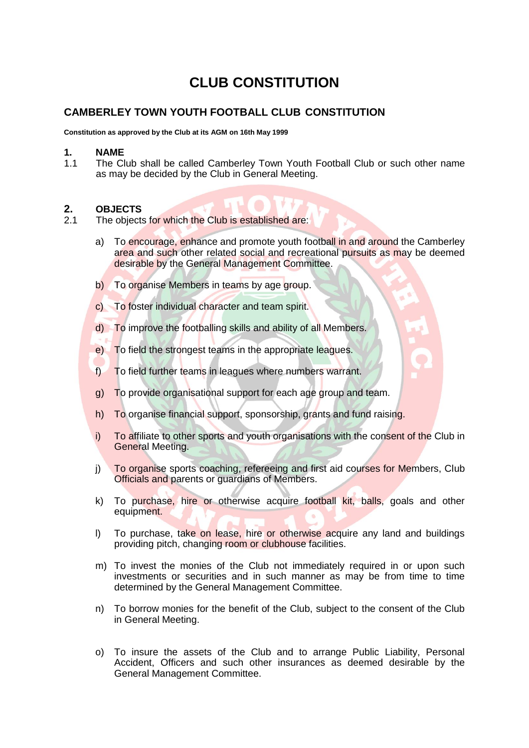# **CLUB CONSTITUTION**

## **CAMBERLEY TOWN YOUTH FOOTBALL CLUB CONSTITUTION**

**Constitution as approved by the Club at its AGM on 16th May 1999**

#### **1. NAME**

1.1 The Club shall be called Camberley Town Youth Football Club or such other name as may be decided by the Club in General Meeting.

### **2. OBJECTS**

- 2.1 The objects for which the Club is established are:
	- a) To encourage, enhance and promote youth football in and around the Camberley area and such other related social and recreational pursuits as may be deemed desirable by the General Management Committee.
	- b) To organise Members in teams by age group.
	- c) To foster individual character and team spirit.
	- d) To improve the footballing skills and ability of all Members.
	- e) To field the strongest teams in the appropriate leagues.
	- f) To field further teams in leagues where numbers warrant.
	- g) To provide organisational support for each age group and team.
	- h) To organise financial support, sponsorship, grants and fund raising.
	- i) To affiliate to other sports and youth organisations with the consent of the Club in General Meeting.
	- j) To organise sports coaching, refereeing and first aid courses for Members, Club Officials and parents or guardians of Members.
	- k) To purchase, hire or otherwise acquire football kit, balls, goals and other equipment.
	- I) To purchase, take on lease, hire or otherwise acquire any land and buildings providing pitch, changing room or clubhouse facilities.
	- m) To invest the monies of the Club not immediately required in or upon such investments or securities and in such manner as may be from time to time determined by the General Management Committee.
	- n) To borrow monies for the benefit of the Club, subject to the consent of the Club in General Meeting.
	- o) To insure the assets of the Club and to arrange Public Liability, Personal Accident, Officers and such other insurances as deemed desirable by the General Management Committee.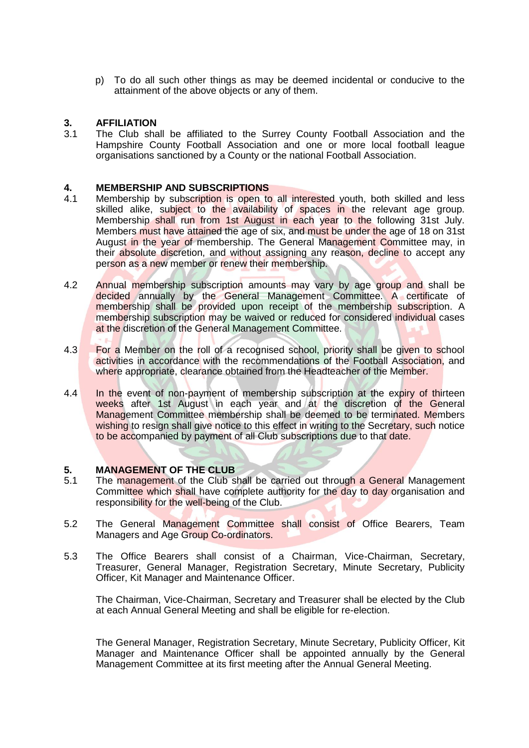p) To do all such other things as may be deemed incidental or conducive to the attainment of the above objects or any of them.

# **3. AFFILIATION**

The Club shall be affiliated to the Surrey County Football Association and the Hampshire County Football Association and one or more local football league organisations sanctioned by a County or the national Football Association.

# **4. MEMBERSHIP AND SUBSCRIPTIONS**

- Membership by subscription is open to all interested youth, both skilled and less skilled alike, subject to the availability of spaces in the relevant age group. Membership shall run from 1st August in each year to the following 31st July. Members must have attained the age of six, and must be under the age of 18 on 31st August in the year of membership. The General Management Committee may, in their absolute discretion, and without assigning any reason, decline to accept any person as a new member or renew their membership.
- 4.2 Annual membership subscription amounts may vary by age group and shall be decided annually by the General Management Committee. A certificate of membership shall be provided upon receipt of the membership subscription. A membership subscription may be waived or reduced for considered individual cases at the discretion of the General Management Committee.
- 4.3 For a Member on the roll of a recognised school, priority shall be given to school activities in accordance with the recommendations of the Football Association, and where appropriate, clearance obtained from the Headteacher of the Member.
- 4.4 In the event of non-payment of membership subscription at the expiry of thirteen weeks after 1st August in each year and at the discretion of the General Management Committee membership shall be deemed to be terminated. Members wishing to resign shall give notice to this effect in writing to the Secretary, such notice to be accompanied by payment of all Club subscriptions due to that date.

#### **5. MANAGEMENT OF THE CLUB**

- 5.1 The management of the Club shall be carried out through a General Management Committee which shall have complete authority for the day to day organisation and responsibility for the well-being of the Club.
- 5.2 The General Management Committee shall consist of Office Bearers, Team Managers and Age Group Co-ordinators.
- 5.3 The Office Bearers shall consist of a Chairman, Vice-Chairman, Secretary, Treasurer, General Manager, Registration Secretary, Minute Secretary, Publicity Officer, Kit Manager and Maintenance Officer.

The Chairman, Vice-Chairman, Secretary and Treasurer shall be elected by the Club at each Annual General Meeting and shall be eligible for re-election.

The General Manager, Registration Secretary, Minute Secretary, Publicity Officer, Kit Manager and Maintenance Officer shall be appointed annually by the General Management Committee at its first meeting after the Annual General Meeting.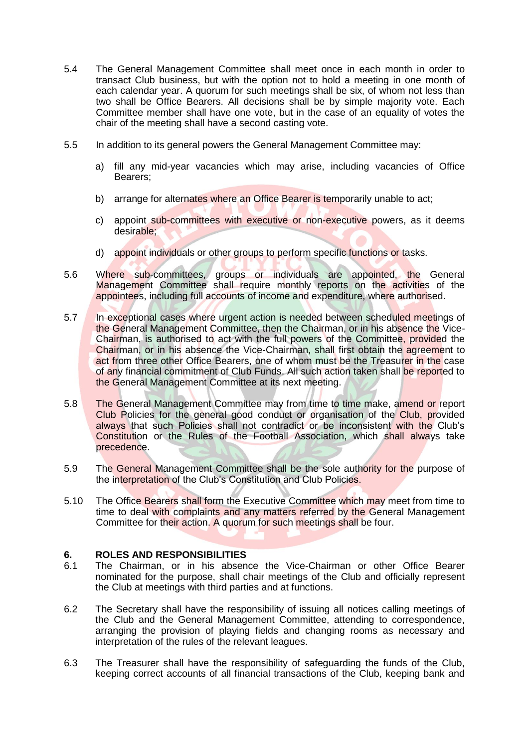- 5.4 The General Management Committee shall meet once in each month in order to transact Club business, but with the option not to hold a meeting in one month of each calendar year. A quorum for such meetings shall be six, of whom not less than two shall be Office Bearers. All decisions shall be by simple majority vote. Each Committee member shall have one vote, but in the case of an equality of votes the chair of the meeting shall have a second casting vote.
- 5.5 In addition to its general powers the General Management Committee may:
	- a) fill any mid-year vacancies which may arise, including vacancies of Office Bearers;
	- b) arrange for alternates where an Office Bearer is temporarily unable to act;
	- c) appoint sub-committees with executive or non-executive powers, as it deems desirable;
	- d) appoint individuals or other groups to perform specific functions or tasks.
- 5.6 Where sub-committees, groups or individuals are appointed, the General Management Committee shall require monthly reports on the activities of the appointees, including full accounts of income and expenditure, where authorised.
- 5.7 In exceptional cases where urgent action is needed between scheduled meetings of the General Management Committee, then the Chairman, or in his absence the Vice-Chairman, is authorised to act with the full powers of the Committee, provided the Chairman, or in his absence the Vice-Chairman, shall first obtain the agreement to act from three other Office Bearers, one of whom must be the Treasurer in the case of any financial commitment of Club Funds. All such action taken shall be reported to the General Management Committee at its next meeting.
- 5.8 The General Management Committee may from time to time make, amend or report Club Policies for the general good conduct or organisation of the Club, provided always that such Policies shall not contradict or be inconsistent with the Club's Constitution or the Rules of the Football Association, which shall always take precedence.
- 5.9 The General Management Committee shall be the sole authority for the purpose of the interpretation of the Club's Constitution and Club Policies.
- 5.10 The Office Bearers shall form the Executive Committee which may meet from time to time to deal with complaints and any matters referred by the General Management Committee for their action. A quorum for such meetings shall be four.

### **6. ROLES AND RESPONSIBILITIES**

- 6.1 The Chairman, or in his absence the Vice-Chairman or other Office Bearer nominated for the purpose, shall chair meetings of the Club and officially represent the Club at meetings with third parties and at functions.
- 6.2 The Secretary shall have the responsibility of issuing all notices calling meetings of the Club and the General Management Committee, attending to correspondence, arranging the provision of playing fields and changing rooms as necessary and interpretation of the rules of the relevant leagues.
- 6.3 The Treasurer shall have the responsibility of safeguarding the funds of the Club, keeping correct accounts of all financial transactions of the Club, keeping bank and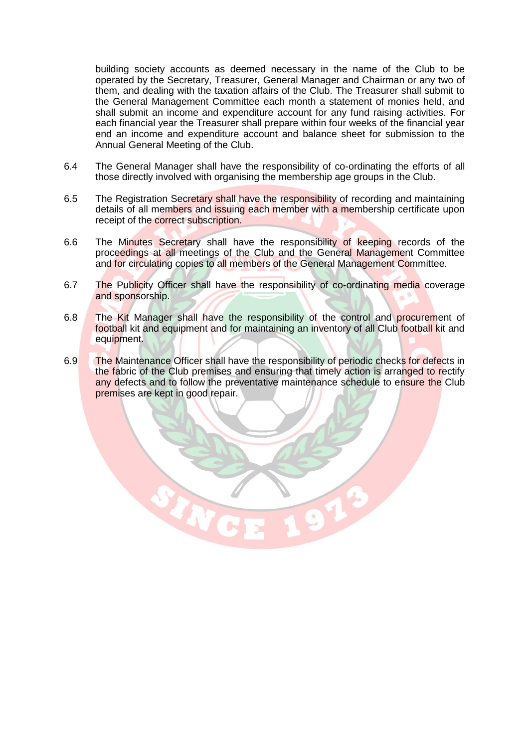building society accounts as deemed necessary in the name of the Club to be operated by the Secretary, Treasurer, General Manager and Chairman or any two of them, and dealing with the taxation affairs of the Club. The Treasurer shall submit to the General Management Committee each month a statement of monies held, and shall submit an income and expenditure account for any fund raising activities. For each financial year the Treasurer shall prepare within four weeks of the financial year end an income and expenditure account and balance sheet for submission to the Annual General Meeting of the Club.

- 6.4 The General Manager shall have the responsibility of co-ordinating the efforts of all those directly involved with organising the membership age groups in the Club.
- 6.5 The Registration Secretary shall have the responsibility of recording and maintaining details of all members and issuing each member with a membership certificate upon receipt of the correct subscription.
- 6.6 The Minutes Secretary shall have the responsibility of keeping records of the proceedings at all meetings of the Club and the General Management Committee and for circulating copies to all members of the General Management Committee.
- 6.7 The Publicity Officer shall have the responsibility of co-ordinating media coverage and sponsorship.
- 6.8 The Kit Manager shall have the responsibility of the control and procurement of football kit and equipment and for maintaining an inventory of all Club football kit and equipment.
- 6.9 The Maintenance Officer shall have the responsibility of periodic checks for defects in the fabric of the Club premises and ensuring that timely action is arranged to rectify any defects and to follow the preventative maintenance schedule to ensure the Club premises are kept in good repair.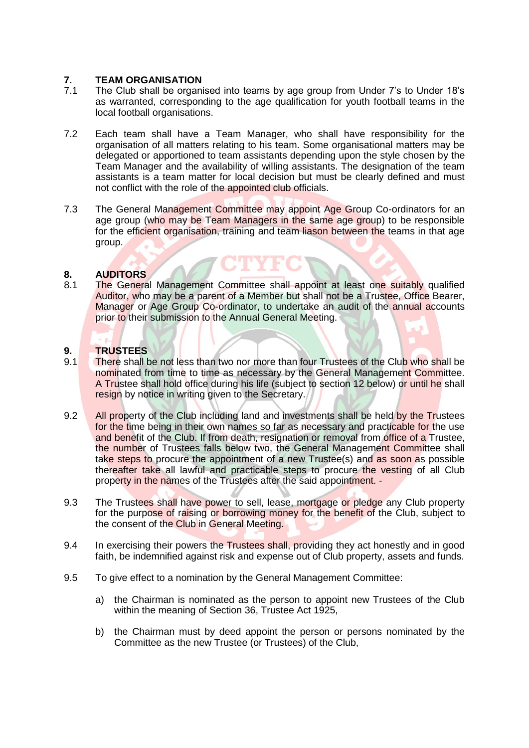# **7. TEAM ORGANISATION**

- The Club shall be organised into teams by age group from Under 7's to Under 18's as warranted, corresponding to the age qualification for youth football teams in the local football organisations.
- 7.2 Each team shall have a Team Manager, who shall have responsibility for the organisation of all matters relating to his team. Some organisational matters may be delegated or apportioned to team assistants depending upon the style chosen by the Team Manager and the availability of willing assistants. The designation of the team assistants is a team matter for local decision but must be clearly defined and must not conflict with the role of the appointed club officials.
- 7.3 The General Management Committee may appoint Age Group Co-ordinators for an age group (who may be Team Managers in the same age group) to be responsible for the efficient organisation, training and team liason between the teams in that age group.

### **8. AUDITORS**

8.1 The General Management Committee shall appoint at least one suitably qualified Auditor, who may be a parent of a Member but shall not be a Trustee, Office Bearer, Manager or Age Group Co-ordinator, to undertake an audit of the annual accounts prior to their submission to the Annual General Meeting.

### **9. TRUSTEES**

- 9.1 There shall be not less than two nor more than four Trustees of the Club who shall be nominated from time to time as necessary by the General Management Committee. A Trustee shall hold office during his life (subject to section 12 below) or until he shall resign by notice in writing given to the Secretary.
- 9.2 All property of the Club including land and investments shall be held by the Trustees for the time being in their own names so far as necessary and practicable for the use and benefit of the Club. If from death, resignation or removal from office of a Trustee, the number of Trustees falls below two, the General Management Committee shall take steps to procure the appointment of a new Trustee(s) and as soon as possible thereafter take all lawful and practicable steps to procure the vesting of all Club property in the names of the Trustees after the said appointment. -
- 9.3 The Trustees shall have power to sell, lease, mortgage or pledge any Club property for the purpose of raising or borrowing money for the benefit of the Club, subject to the consent of the Club in General Meeting.
- 9.4 In exercising their powers the Trustees shall, providing they act honestly and in good faith, be indemnified against risk and expense out of Club property, assets and funds.
- 9.5 To give effect to a nomination by the General Management Committee:
	- a) the Chairman is nominated as the person to appoint new Trustees of the Club within the meaning of Section 36, Trustee Act 1925,
	- b) the Chairman must by deed appoint the person or persons nominated by the Committee as the new Trustee (or Trustees) of the Club,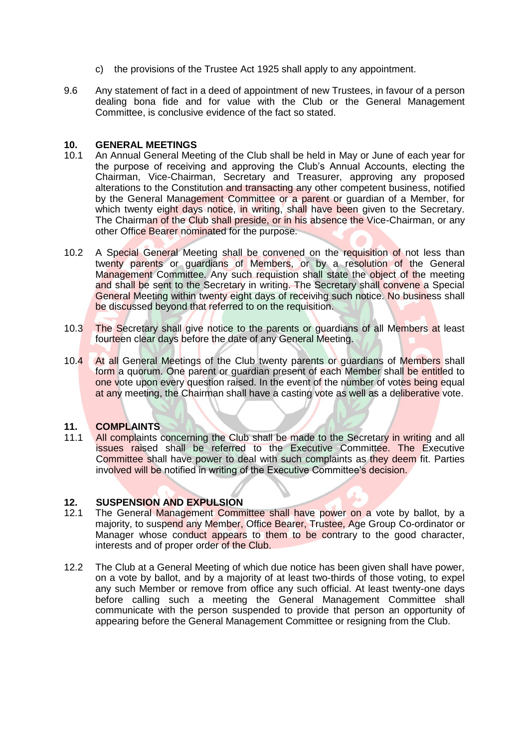- c) the provisions of the Trustee Act 1925 shall apply to any appointment.
- 9.6 Any statement of fact in a deed of appointment of new Trustees, in favour of a person dealing bona fide and for value with the Club or the General Management Committee, is conclusive evidence of the fact so stated.

#### **10. GENERAL MEETINGS**

- 10.1 An Annual General Meeting of the Club shall be held in May or June of each year for the purpose of receiving and approving the Club's Annual Accounts, electing the Chairman, Vice-Chairman, Secretary and Treasurer, approving any proposed alterations to the Constitution and transacting any other competent business, notified by the General Management Committee or a parent or guardian of a Member, for which twenty eight days notice, in writing, shall have been given to the Secretary. The Chairman of the Club shall preside, or in his absence the Vice-Chairman, or any other Office Bearer nominated for the purpose.
- 10.2 A Special General Meeting shall be convened on the requisition of not less than twenty parents or guardians of Members, or by a resolution of the General Management Committee. Any such requistion shall state the object of the meeting and shall be sent to the Secretary in writing. The Secretary shall convene a Special General Meeting within twenty eight days of receivihg such notice. No business shall be discussed beyond that referred to on the requisition.
- 10.3 The Secretary shall give notice to the parents or guardians of all Members at least fourteen clear days before the date of any General Meeting.
- 10.4 At all General Meetings of the Club twenty parents or guardians of Members shall form a quorum. One parent or guardian present of each Member shall be entitled to one vote upon every question raised. In the event of the number of votes being equal at any meeting, the Chairman shall have a casting vote as well as a deliberative vote.

#### **11. COMPLAINTS**

11.1 All complaints concerning the Club shall be made to the Secretary in writing and all issues raised shall be referred to the Executive Committee. The Executive Committee shall have power to deal with such complaints as they deem fit. Parties involved will be notified in writing of the Executive Committee's decision.

## **12. SUSPENSION AND EXPULSION**

- 12.1 The General Management Committee shall have power on a vote by ballot, by a majority, to suspend any Member, Office Bearer, Trustee, Age Group Co-ordinator or Manager whose conduct appears to them to be contrary to the good character, interests and of proper order of the Club.
- 12.2 The Club at a General Meeting of which due notice has been given shall have power, on a vote by ballot, and by a majority of at least two-thirds of those voting, to expel any such Member or remove from office any such official. At least twenty-one days before calling such a meeting the General Management Committee shall communicate with the person suspended to provide that person an opportunity of appearing before the General Management Committee or resigning from the Club.